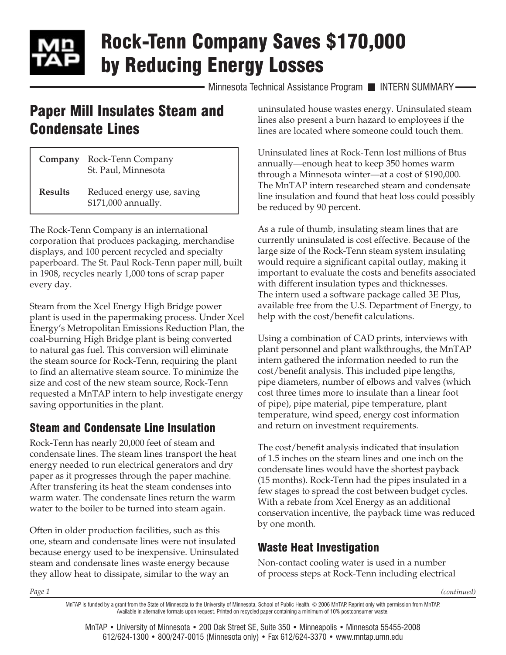# Rock-Tenn Company Saves \$170,000 by Reducing Energy Losses

Minnesota Technical Assistance Program INTERN SUMMARY-

## Paper Mill Insulates Steam and Condensate Lines

| Company        | Rock-Tenn Company<br>St. Paul, Minnesota          |
|----------------|---------------------------------------------------|
| <b>Results</b> | Reduced energy use, saving<br>\$171,000 annually. |

The Rock-Tenn Company is an international corporation that produces packaging, merchandise displays, and 100 percent recycled and specialty paperboard. The St. Paul Rock-Tenn paper mill, built in 1908, recycles nearly 1,000 tons of scrap paper every day.

Steam from the Xcel Energy High Bridge power plant is used in the papermaking process. Under Xcel Energy's Metropolitan Emissions Reduction Plan, the coal-burning High Bridge plant is being converted to natural gas fuel. This conversion will eliminate the steam source for Rock-Tenn, requiring the plant to find an alternative steam source. To minimize the size and cost of the new steam source, Rock-Tenn requested a MnTAP intern to help investigate energy saving opportunities in the plant.

### Steam and Condensate Line Insulation

Rock-Tenn has nearly 20,000 feet of steam and condensate lines. The steam lines transport the heat energy needed to run electrical generators and dry paper as it progresses through the paper machine. After transfering its heat the steam condenses into warm water. The condensate lines return the warm water to the boiler to be turned into steam again.

Often in older production facilities, such as this one, steam and condensate lines were not insulated because energy used to be inexpensive. Uninsulated steam and condensate lines waste energy because they allow heat to dissipate, similar to the way an

uninsulated house wastes energy. Uninsulated steam lines also present a burn hazard to employees if the lines are located where someone could touch them.

Uninsulated lines at Rock-Tenn lost millions of Btus annually—enough heat to keep 350 homes warm through a Minnesota winter—at a cost of \$190,000. The MnTAP intern researched steam and condensate line insulation and found that heat loss could possibly be reduced by 90 percent.

As a rule of thumb, insulating steam lines that are currently uninsulated is cost effective. Because of the large size of the Rock-Tenn steam system insulating would require a significant capital outlay, making it important to evaluate the costs and benefits associated with different insulation types and thicknesses. The intern used a software package called 3E Plus, available free from the U.S. Department of Energy, to help with the cost/benefit calculations.

Using a combination of CAD prints, interviews with plant personnel and plant walkthroughs, the MnTAP intern gathered the information needed to run the cost/benefit analysis. This included pipe lengths, pipe diameters, number of elbows and valves (which cost three times more to insulate than a linear foot of pipe), pipe material, pipe temperature, plant temperature, wind speed, energy cost information and return on investment requirements.

The cost/benefit analysis indicated that insulation of 1.5 inches on the steam lines and one inch on the condensate lines would have the shortest payback (15 months). Rock-Tenn had the pipes insulated in a few stages to spread the cost between budget cycles. With a rebate from Xcel Energy as an additional conservation incentive, the payback time was reduced by one month.

### Waste Heat Investigation

Non-contact cooling water is used in a number of process steps at Rock-Tenn including electrical

*(continued)*

MnTAP is funded by a grant from the State of Minnesota to the University of Minnesota, School of Public Health. © 2006 MnTAP. Reprint only with permission from MnTAP. Available in alternative formats upon request. Printed on recycled paper containing a minimum of 10% postconsumer waste.

MnTAP • University of Minnesota • 200 Oak Street SE, Suite 350 • Minneapolis • Minnesota 55455-2008 612/624-1300 • 800/247-0015 (Minnesota only) • Fax 612/624-3370 • [www.mntap.umn.edu](http://www.mntap.umn.edu)

*Page 1*